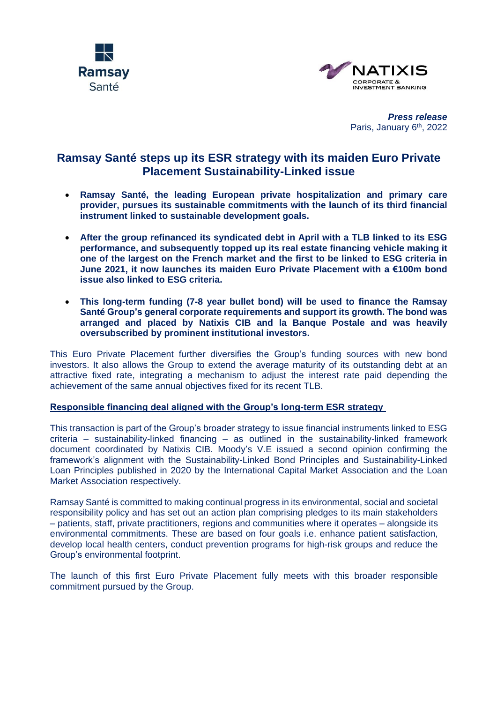



*Press release* Paris, January 6<sup>th</sup>, 2022

# **Ramsay Santé steps up its ESR strategy with its maiden Euro Private Placement Sustainability-Linked issue**

- **Ramsay Santé, the leading European private hospitalization and primary care provider, pursues its sustainable commitments with the launch of its third financial instrument linked to sustainable development goals.**
- **After the group refinanced its [syndicated debt in April with a TLB linked to its ESG](https://press.ramsaysante.eu/communique/208910/Ramsay-Generale-de-Sante-successfully-refinanced-its-syndicated-debt?cm=1)  [performance,](https://press.ramsaysante.eu/communique/208910/Ramsay-Generale-de-Sante-successfully-refinanced-its-syndicated-debt?cm=1) and subsequently topped up its real estate financing vehicle [making it](https://press.ramsaysante.eu/communique/209947/Ramsay-Sante-tops-up-its-collateral-trust-making-it-one-of-the-largest-on-the-French-market-and-the-first-to-be-linked-to-ESG-criteria?cm=1)  [one of the largest on the French market and the first to be linked to ESG criteria in](https://press.ramsaysante.eu/communique/209947/Ramsay-Sante-tops-up-its-collateral-trust-making-it-one-of-the-largest-on-the-French-market-and-the-first-to-be-linked-to-ESG-criteria?cm=1)  [June 2021,](https://press.ramsaysante.eu/communique/209947/Ramsay-Sante-tops-up-its-collateral-trust-making-it-one-of-the-largest-on-the-French-market-and-the-first-to-be-linked-to-ESG-criteria?cm=1) it now launches its maiden Euro Private Placement with a €100m bond issue also linked to ESG criteria.**
- **This long-term funding (7-8 year bullet bond) will be used to finance the Ramsay Santé Group's general corporate requirements and support its growth. The bond was arranged and placed by Natixis CIB and la Banque Postale and was heavily oversubscribed by prominent institutional investors.**

This Euro Private Placement further diversifies the Group's funding sources with new bond investors. It also allows the Group to extend the average maturity of its outstanding debt at an attractive fixed rate, integrating a mechanism to adjust the interest rate paid depending the achievement of the same annual objectives fixed for its recent TLB.

## **Responsible financing deal aligned with the Group's long-term ESR strategy**

This transaction is part of the Group's broader strategy to issue financial instruments linked to ESG criteria – sustainability-linked financing – as outlined in the sustainability-linked framework document coordinated by Natixis CIB. Moody's V.E issued a second opinion confirming the framework's alignment with the Sustainability-Linked Bond Principles and Sustainability-Linked Loan Principles published in 2020 by the International Capital Market Association and the Loan Market Association respectively.

Ramsay Santé is committed to making continual progress in its environmental, social and societal responsibility policy and has set out an action plan comprising pledges to its main stakeholders – patients, staff, private practitioners, regions and communities where it operates – alongside its environmental commitments. These are based on four goals i.e. enhance patient satisfaction, develop local health centers, conduct prevention programs for high-risk groups and reduce the Group's environmental footprint.

The launch of this first Euro Private Placement fully meets with this broader responsible commitment pursued by the Group.